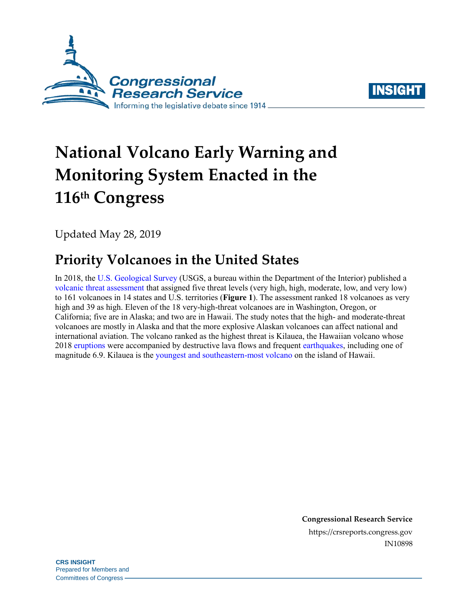



# **National Volcano Early Warning and Monitoring System Enacted in the 116 th Congress**

Updated May 28, 2019

# **Priority Volcanoes in the United States**

In 2018, the [U.S. Geological Survey](https://www.usgs.gov/) (USGS, a bureau within the Department of the Interior) published a [volcanic threat assessment](https://pubs.er.usgs.gov/publication/sir20185140) that assigned five threat levels (very high, high, moderate, low, and very low) to 161 volcanoes in 14 states and U.S. territories (**[Figure 1](#page-1-0)**). The assessment ranked 18 volcanoes as very high and 39 as high. Eleven of the 18 very-high-threat volcanoes are in Washington, Oregon, or California; five are in Alaska; and two are in Hawaii. The study notes that the high- and moderate-threat volcanoes are mostly in Alaska and that the more explosive Alaskan volcanoes can affect national and international aviation. The volcano ranked as the highest threat is Kilauea, the Hawaiian volcano whose 201[8 eruptions](https://volcanoes.usgs.gov/volcanoes/kilauea/extra/background.pdf) were accompanied by destructive lava flows and frequent [earthquakes,](https://volcanoes.usgs.gov/observatories/hvo/about_earthquakes.html) including one of magnitude 6.9. Kilauea is the [youngest and southeastern-most volcano](https://www.usgs.gov/news/kilauea-volcano-erupts) on the island of Hawaii.

> **Congressional Research Service** https://crsreports.congress.gov IN10898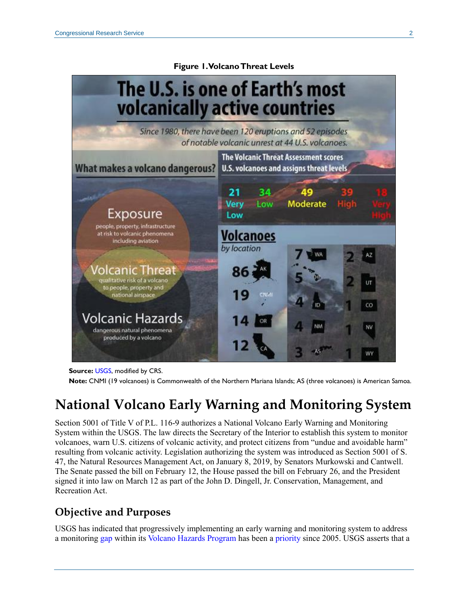#### <span id="page-1-0"></span>The U.S. is one of Earth's most **volcanically active countries** Since 1980, there have been 120 eruptions and 52 episodes of notable volcanic unrest at 44 U.S. volcanoes. The Volcanic Threat Assessment scores What makes a volcano dangerous? **U.S. volcanoes and assigns threat levels** 21 34 49 **Moderate** Very Low Exposure Low people, property, infrastructure at risk to volcanic phenomena<br>including aviation Volcanoes by location 'olcanic Threat qualitative risk of a volcano to people, property and national airspace ĊΟ Volcanic Hazards dangerous natural phenomena produced by a volcano

**Figure 1. Volcano Threat Levels**

**Source:** [USGS,](https://volcanoes.usgs.gov/index.html) modified by CRS.

**Note:** CNMI (19 volcanoes) is Commonwealth of the Northern Mariana Islands; AS (three volcanoes) is American Samoa.

## **National Volcano Early Warning and Monitoring System**

Section 5001 of Title V of [P.L. 116-9](http://www.congress.gov/cgi-lis/bdquery/R?d116:FLD002:@1(116+9)) authorizes a National Volcano Early Warning and Monitoring System within the USGS. The law directs the Secretary of the Interior to establish this system to monitor volcanoes, warn U.S. citizens of volcanic activity, and protect citizens from "undue and avoidable harm" resulting from volcanic activity. Legislation authorizing the system was introduced as Section 5001 of [S.](http://www.congress.gov/cgi-lis/bdquery/z?d116:S.47:)  [47,](http://www.congress.gov/cgi-lis/bdquery/z?d116:S.47:) the Natural Resources Management Act, on January 8, 2019, by Senators Murkowski and Cantwell. The Senate passed the bill on February 12, the House passed the bill on February 26, and the President signed it into law on March 12 as part of the John D. Dingell, Jr. Conservation, Management, and Recreation Act.

### **Objective and Purposes**

USGS has indicated that progressively implementing an early warning and monitoring system to address a monitoring [gap](https://pubs.usgs.gov/fs/2006/3142/) within it[s Volcano Hazards Program](https://volcanoes.usgs.gov/index.html) has been a [priority](https://volcanoes.usgs.gov/vhp/nvews.html) since 2005. USGS asserts that a

WY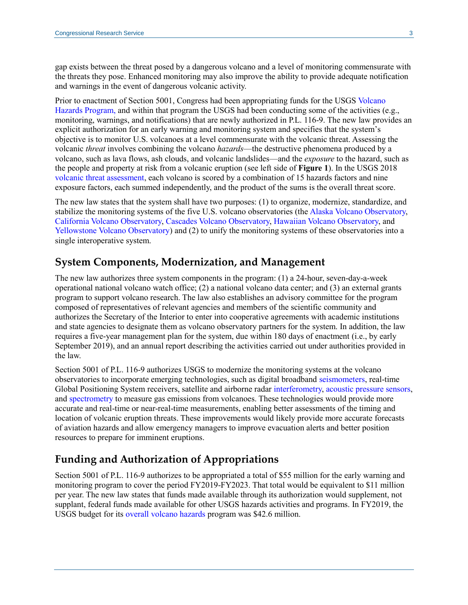gap exists between the threat posed by a dangerous volcano and a level of monitoring commensurate with the threats they pose. Enhanced monitoring may also improve the ability to provide adequate notification and warnings in the event of dangerous volcanic activity.

Prior to enactment of Section 5001, Congress had been appropriating funds for the USGS [Volcano](https://volcanoes.usgs.gov/vhp/about.html)  [Hazards Program,](https://volcanoes.usgs.gov/vhp/about.html) and within that program the USGS had been conducting some of the activities (e.g., monitoring, warnings, and notifications) that are newly authorized in [P.L. 116-9.](http://www.congress.gov/cgi-lis/bdquery/R?d116:FLD002:@1(116+9)) The new law provides an explicit authorization for an early warning and monitoring system and specifies that the system's objective is to monitor U.S. volcanoes at a level commensurate with the volcanic threat. Assessing the volcanic *threat* involves combining the volcano *hazards*—the destructive phenomena produced by a volcano, such as lava flows, ash clouds, and volcanic landslides—and the *exposure* to the hazard, such as the people and property at risk from a volcanic eruption (see left side of **[Figure 1](#page-1-0)**). In the USGS 2018 [volcanic threat assessment,](https://pubs.er.usgs.gov/publication/sir20185140) each volcano is scored by a combination of 15 hazards factors and nine exposure factors, each summed independently, and the product of the sums is the overall threat score.

The new law states that the system shall have two purposes: (1) to organize, modernize, standardize, and stabilize the monitoring systems of the five U.S. volcano observatories (th[e Alaska Volcano Observatory,](https://www.avo.alaska.edu/) [California Volcano Observatory,](https://volcanoes.usgs.gov/observatories/calvo/) [Cascades Volcano Observatory,](https://volcanoes.usgs.gov/observatories/cvo/) [Hawaiian Volcano Observatory,](https://volcanoes.usgs.gov/observatories/hvo/) and [Yellowstone Volcano Observatory\)](https://volcanoes.usgs.gov/observatories/yvo/) and (2) to unify the monitoring systems of these observatories into a single interoperative system.

#### **System Components, Modernization, and Management**

The new law authorizes three system components in the program: (1) a 24-hour, seven-day-a-week operational national volcano watch office; (2) a national volcano data center; and (3) an external grants program to support volcano research. The law also establishes an advisory committee for the program composed of representatives of relevant agencies and members of the scientific community and authorizes the Secretary of the Interior to enter into cooperative agreements with academic institutions and state agencies to designate them as volcano observatory partners for the system. In addition, the law requires a five-year management plan for the system, due within 180 days of enactment (i.e., by early September 2019), and an annual report describing the activities carried out under authorities provided in the law.

Section 5001 of [P.L. 116-9](http://www.congress.gov/cgi-lis/bdquery/R?d116:FLD002:@1(116+9)) authorizes USGS to modernize the monitoring systems at the volcano observatories to incorporate emerging technologies, such as digital broadband [seismometers,](https://earthquake.usgs.gov/learn/topics/keeping_track.php) real-time Global Positioning System receivers, satellite and airborne radar [interferometry,](http://www.esa.int/Our_Activities/Observing_the_Earth/How_does_interferometry_work) [acoustic pressure sensors,](https://www.washington.edu/news/2017/09/21/hacking-a-pressure-sensor-to-track-gradual-motion-along-marine-faults/) and [spectrometry](https://www.dictionary.com/browse/spectrometry) to measure gas emissions from volcanoes. These technologies would provide more accurate and real-time or near-real-time measurements, enabling better assessments of the timing and location of volcanic eruption threats. These improvements would likely provide more accurate forecasts of aviation hazards and allow emergency managers to improve evacuation alerts and better position resources to prepare for imminent eruptions.

#### **Funding and Authorization of Appropriations**

Section 5001 of [P.L. 116-9](http://www.congress.gov/cgi-lis/bdquery/R?d116:FLD002:@1(116+9)) authorizes to be appropriated a total of \$55 million for the early warning and monitoring program to cover the period FY2019-FY2023. That total would be equivalent to \$11 million per year. The new law states that funds made available through its authorization would supplement, not supplant, federal funds made available for other USGS hazards activities and programs. In FY2019, the USGS budget for its [overall volcano hazards](https://edit.doi.gov/sites/doi.gov/files/uploads/fy2020_usgs_budget_justification.pdf) program was \$42.6 million.